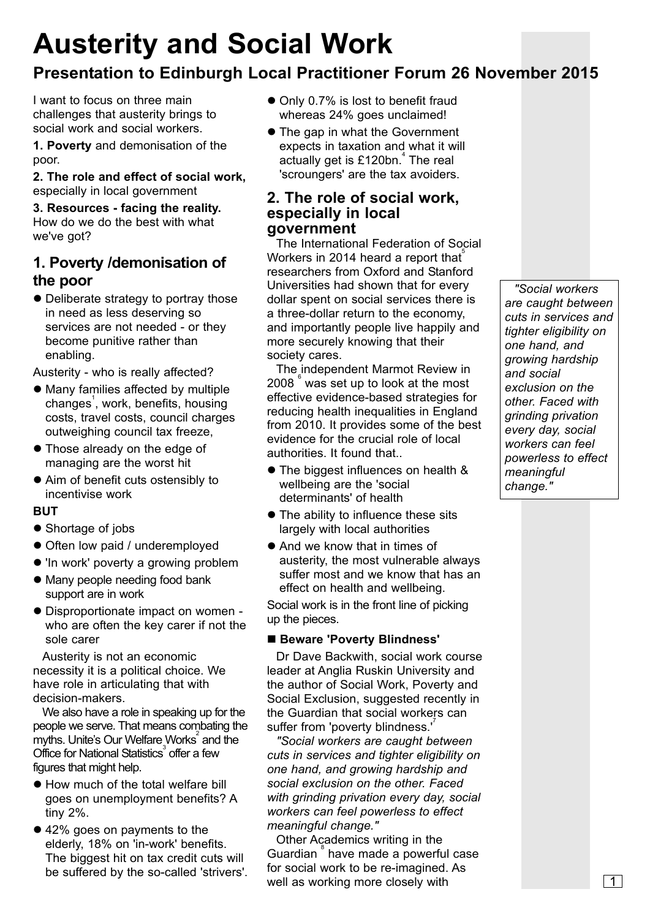# **Austerity and Social Work**

## **Presentation to Edinburgh Local Practitioner Forum 26 November 2015**

I want to focus on three main challenges that austerity brings to social work and social workers.

**1. Poverty** and demonisation of the poor.

**2. The role and effect of social work,** especially in local government

**3. Resources - facing the reality.** How do we do the best with what we've got?

## **1. Poverty /demonisation of the poor**

• Deliberate strategy to portray those in need as less deserving so services are not needed - or they become punitive rather than enabling.

Austerity - who is really affected?

- Many families affected by multiple changes<sup>'</sup>, work, benefits, housing costs, travel costs, council charges outweighing council tax freeze,
- **Those already on the edge of** managing are the worst hit
- Aim of benefit cuts ostensibly to incentivise work

#### **BUT**

- Shortage of jobs
- Often low paid / underemployed
- 'In work' poverty a growing problem
- Many people needing food bank support are in work
- Disproportionate impact on women who are often the key carer if not the sole carer

Austerity is not an economic necessity it is a political choice. We have role in articulating that with decision-makers.

We also have a role in speaking up for the people we serve. That means combating the myths. Unite's Our Welfare Works and the Office for National Statistics<sup>3</sup> offer a few figures that might help.

- How much of the total welfare bill goes on unemployment benefits? A tiny 2%.
- 42% goes on payments to the elderly, 18% on 'in-work' benefits. The biggest hit on tax credit cuts will be suffered by the so-called 'strivers'.
- Only 0.7% is lost to benefit fraud whereas 24% goes unclaimed!
- The gap in what the Government expects in taxation and what it will actually get is £120bn. 4 The real 'scroungers' are the tax avoiders.

### **2. The role of social work, especially in local government**

The International Federation of Social Workers in 2014 heard a report that $\widetilde{\phantom{a}}$ researchers from Oxford and Stanford Universities had shown that for every dollar spent on social services there is a three-dollar return to the economy, and importantly people live happily and more securely knowing that their society cares.

The independent Marmot Review in 2008<sup>°</sup> was set up to look at the most effective evidence-based strategies for reducing health inequalities in England from 2010. It provides some of the best evidence for the crucial role of local authorities. It found that..

- The biggest influences on health & wellbeing are the 'social determinants' of health
- $\bullet$  The ability to influence these sits largely with local authorities
- And we know that in times of austerity, the most vulnerable always suffer most and we know that has an effect on health and wellbeing.

Social work is in the front line of picking up the pieces.

#### ■ Beware 'Poverty Blindness'

Dr Dave Backwith, social work course leader at Anglia Ruskin University and the author of Social Work, Poverty and Social Exclusion, suggested recently in the Guardian that social workers can suffer from 'poverty blindness.'<sup>7</sup>

*"Social workers are caught between cuts in services and tighter eligibility on one hand, and growing hardship and social exclusion on the other. Faced with grinding privation every day, social workers can feel powerless to effect meaningful change."*

Other Academics writing in the Guardian<sup>°</sup> have made a powerful case for social work to be re-imagined. As well as working more closely with  $\boxed{1}$ 

*"Social workers are caught between cuts in services and tighter eligibility on one hand, and growing hardship and social exclusion on the other. Faced with grinding privation every day, social workers can feel powerless to effect meaningful change."*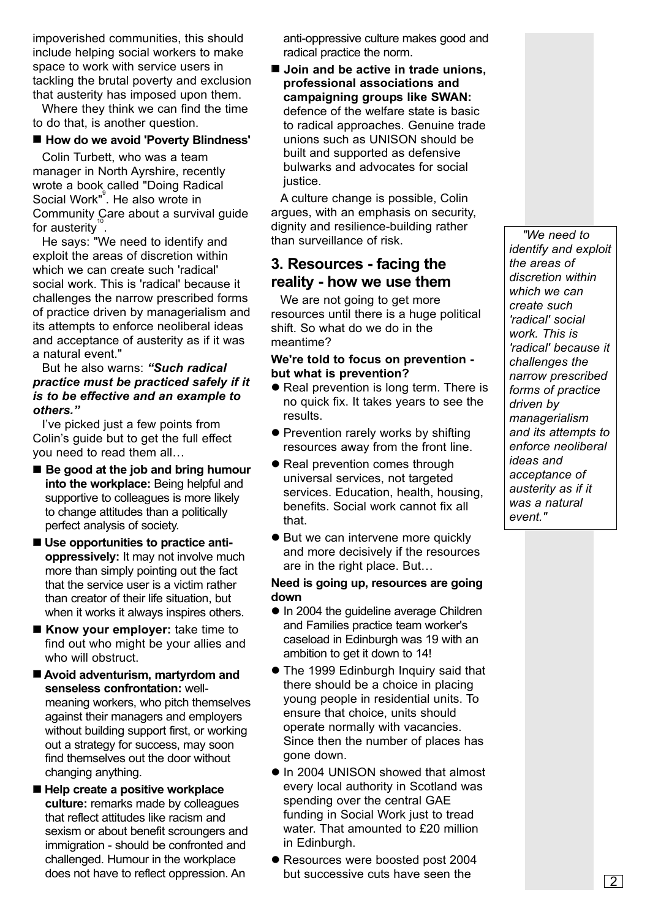impoverished communities, this should include helping social workers to make space to work with service users in tackling the brutal poverty and exclusion that austerity has imposed upon them.

Where they think we can find the time to do that, is another question.

#### ■ How do we avoid 'Poverty Blindness'

Colin Turbett, who was a team manager in North Ayrshire, recently wrote a book called "Doing Radical Social Work"<sup>9</sup>. He also wrote in Community Care about a survival guide for austerity<sup>10</sup>.

He says: "We need to identify and exploit the areas of discretion within which we can create such 'radical' social work. This is 'radical' because it challenges the narrow prescribed forms of practice driven by managerialism and its attempts to enforce neoliberal ideas and acceptance of austerity as if it was a natural event."

#### But he also warns: *"Such radical practice must be practiced safely if it is to be effective and an example to others."*

I've picked just a few points from Colin's guide but to get the full effect you need to read them all…

- Be good at the job and bring humour **into the workplace:** Being helpful and supportive to colleagues is more likely to change attitudes than a politically perfect analysis of society.
- $\blacksquare$  Use opportunities to practice anti**oppressively:** It may not involve much more than simply pointing out the fact that the service user is a victim rather than creator of their life situation, but when it works it always inspires others.
- **Know your employer:** take time to find out who might be your allies and who will obstruct.
- Avoid adventurism, martyrdom and **senseless confrontation:** wellmeaning workers, who pitch themselves against their managers and employers without building support first, or working out a strategy for success, may soon find themselves out the door without changing anything.
- Help create a positive workplace **culture:** remarks made by colleagues that reflect attitudes like racism and sexism or about benefit scroungers and immigration - should be confronted and challenged. Humour in the workplace does not have to reflect oppression. An

anti-oppressive culture makes good and radical practice the norm.

■ Join and be active in trade unions, **professional associations and campaigning groups like SWAN:** defence of the welfare state is basic to radical approaches. Genuine trade unions such as UNISON should be built and supported as defensive bulwarks and advocates for social justice.

A culture change is possible, Colin argues, with an emphasis on security, dignity and resilience-building rather than surveillance of risk.

## **3. Resources - facing the reality - how we use them**

We are not going to get more resources until there is a huge political shift. So what do we do in the meantime?

#### **We're told to focus on prevention but what is prevention?**

- Real prevention is long term. There is no quick fix. It takes years to see the results.
- Prevention rarely works by shifting resources away from the front line.
- Real prevention comes through universal services, not targeted services. Education, health, housing, benefits. Social work cannot fix all that.
- $\bullet$  But we can intervene more quickly and more decisively if the resources are in the right place. But…

#### **Need is going up, resources are going down**

- $\bullet$  In 2004 the guideline average Children and Families practice team worker's caseload in Edinburgh was 19 with an ambition to get it down to 14!
- The 1999 Edinburgh Inquiry said that there should be a choice in placing young people in residential units. To ensure that choice, units should operate normally with vacancies. Since then the number of places has gone down.
- $\bullet$  In 2004 UNISON showed that almost every local authority in Scotland was spending over the central GAE funding in Social Work just to tread water. That amounted to £20 million in Edinburgh.
- Resources were boosted post 2004 but successive cuts have seen the  $\boxed{2}$

*"We need to identify and exploit the areas of discretion within which we can create such 'radical' social work. This is 'radical' because it challenges the narrow prescribed forms of practice driven by managerialism and its attempts to enforce neoliberal ideas and acceptance of austerity as if it was a natural event."*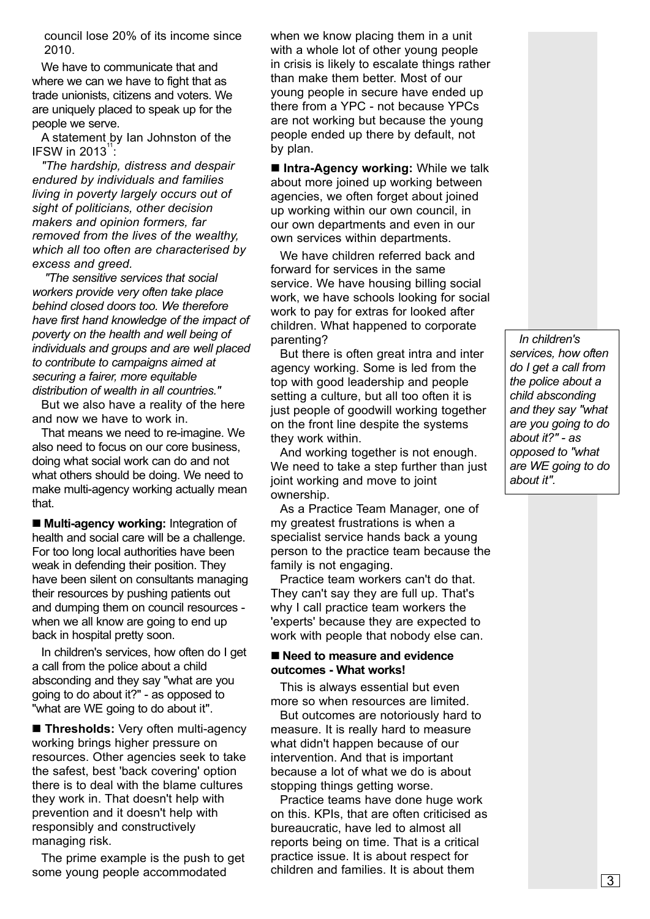council lose 20% of its income since 2010.

We have to communicate that and where we can we have to fight that as trade unionists, citizens and voters. We are uniquely placed to speak up for the people we serve.

A statement by Ian Johnston of the IFSW in  $2013$ <sup>"</sup> :

*"The hardship, distress and despair endured by individuals and families living in poverty largely occurs out of sight of politicians, other decision makers and opinion formers, far removed from the lives of the wealthy, which all too often are characterised by excess and greed.*

*"The sensitive services that social workers provide very often take place behind closed doors too. We therefore have first hand knowledge of the impact of poverty on the health and well being of individuals and groups and are well placed to contribute to campaigns aimed at securing a fairer, more equitable distribution of wealth in all countries."*

But we also have a reality of the here and now we have to work in.

That means we need to re-imagine. We also need to focus on our core business, doing what social work can do and not what others should be doing. We need to make multi-agency working actually mean that.

■ Multi-agency working: Integration of health and social care will be a challenge. For too long local authorities have been weak in defending their position. They have been silent on consultants managing their resources by pushing patients out and dumping them on council resources when we all know are going to end up back in hospital pretty soon.

In children's services, how often do I get a call from the police about a child absconding and they say "what are you going to do about it?" - as opposed to "what are WE going to do about it".

**Thresholds:** Very often multi-agency working brings higher pressure on resources. Other agencies seek to take the safest, best 'back covering' option there is to deal with the blame cultures they work in. That doesn't help with prevention and it doesn't help with responsibly and constructively managing risk.

The prime example is the push to get some young people accommodated

when we know placing them in a unit with a whole lot of other young people in crisis is likely to escalate things rather than make them better. Most of our young people in secure have ended up there from a YPC - not because YPCs are not working but because the young people ended up there by default, not by plan.

 $\blacksquare$  **Intra-Agency working:** While we talk about more joined up working between agencies, we often forget about joined up working within our own council, in our own departments and even in our own services within departments.

We have children referred back and forward for services in the same service. We have housing billing social work, we have schools looking for social work to pay for extras for looked after children. What happened to corporate parenting?

But there is often great intra and inter agency working. Some is led from the top with good leadership and people setting a culture, but all too often it is just people of goodwill working together on the front line despite the systems they work within.

And working together is not enough. We need to take a step further than just joint working and move to joint ownership.

As a Practice Team Manager, one of my greatest frustrations is when a specialist service hands back a young person to the practice team because the family is not engaging.

Practice team workers can't do that. They can't say they are full up. That's why I call practice team workers the 'experts' because they are expected to work with people that nobody else can.

#### ■ Need to measure and evidence **outcomes - What works!**

This is always essential but even more so when resources are limited.

But outcomes are notoriously hard to measure. It is really hard to measure what didn't happen because of our intervention. And that is important because a lot of what we do is about stopping things getting worse.

Practice teams have done huge work on this. KPIs, that are often criticised as bureaucratic, have led to almost all reports being on time. That is a critical practice issue. It is about respect for children and families. It is about them

*In children's services, how often do I get a call from the police about a child absconding and they say "what are you going to do about it?" - as opposed to "what are WE going to do about it".*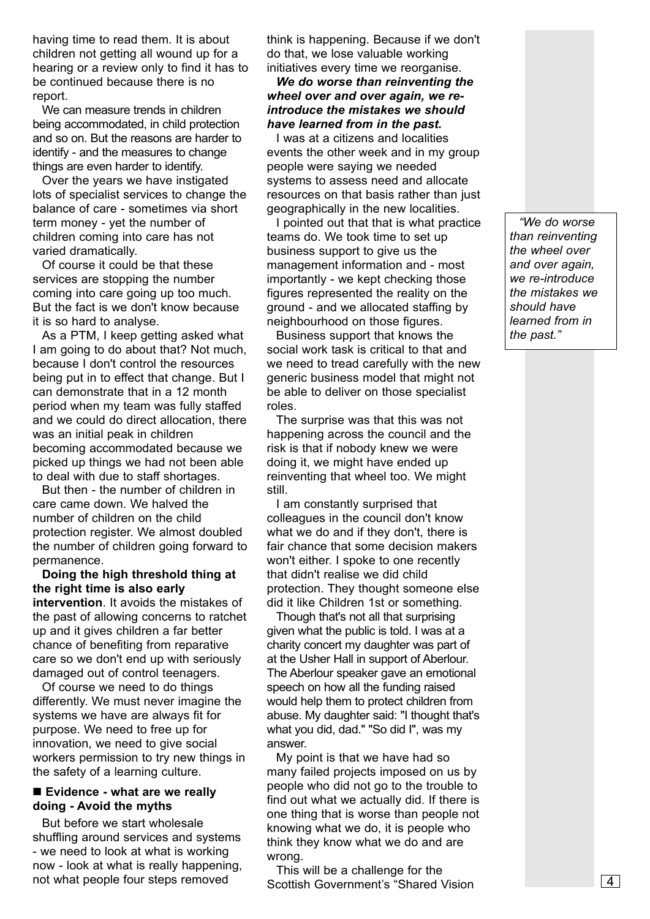having time to read them. It is about children not getting all wound up for a hearing or a review only to find it has to be continued because there is no report.

We can measure trends in children being accommodated, in child protection and so on. But the reasons are harder to identify - and the measures to change things are even harder to identify.

Over the years we have instigated lots of specialist services to change the balance of care - sometimes via short term money - yet the number of children coming into care has not varied dramatically.

Of course it could be that these services are stopping the number coming into care going up too much. But the fact is we don't know because it is so hard to analyse.

As a PTM, I keep getting asked what I am going to do about that? Not much, because I don't control the resources being put in to effect that change. But I can demonstrate that in a 12 month period when my team was fully staffed and we could do direct allocation, there was an initial peak in children becoming accommodated because we picked up things we had not been able to deal with due to staff shortages.

But then - the number of children in care came down. We halved the number of children on the child protection register. We almost doubled the number of children going forward to permanence.

**Doing the high threshold thing at the right time is also early intervention**. It avoids the mistakes of the past of allowing concerns to ratchet up and it gives children a far better chance of benefiting from reparative care so we don't end up with seriously damaged out of control teenagers.

Of course we need to do things differently. We must never imagine the systems we have are always fit for purpose. We need to free up for innovation, we need to give social workers permission to try new things in the safety of a learning culture.

#### ■ Evidence - what are we really **doing - Avoid the myths**

But before we start wholesale shuffling around services and systems - we need to look at what is working now - look at what is really happening, not what people four steps removed

think is happening. Because if we don't do that, we lose valuable working initiatives every time we reorganise.

*We do worse than reinventing the wheel over and over again, we reintroduce the mistakes we should have learned from in the past.*

I was at a citizens and localities events the other week and in my group people were saying we needed systems to assess need and allocate resources on that basis rather than just geographically in the new localities.

I pointed out that that is what practice teams do. We took time to set up business support to give us the management information and - most importantly - we kept checking those figures represented the reality on the ground - and we allocated staffing by neighbourhood on those figures.

Business support that knows the social work task is critical to that and we need to tread carefully with the new generic business model that might not be able to deliver on those specialist roles.

The surprise was that this was not happening across the council and the risk is that if nobody knew we were doing it, we might have ended up reinventing that wheel too. We might still.

I am constantly surprised that colleagues in the council don't know what we do and if they don't, there is fair chance that some decision makers won't either. I spoke to one recently that didn't realise we did child protection. They thought someone else did it like Children 1st or something.

Though that's not all that surprising given what the public is told. I was at a charity concert my daughter was part of at the Usher Hall in support of Aberlour. The Aberlour speaker gave an emotional speech on how all the funding raised would help them to protect children from abuse. My daughter said: "I thought that's what you did, dad." "So did I", was my answer.

My point is that we have had so many failed projects imposed on us by people who did not go to the trouble to find out what we actually did. If there is one thing that is worse than people not knowing what we do, it is people who think they know what we do and are wrong.

This will be a challenge for the Scottish Government's "Shared Vision

*"We do worse than reinventing the wheel over and over again, we re-introduce the mistakes we should have learned from in the past."*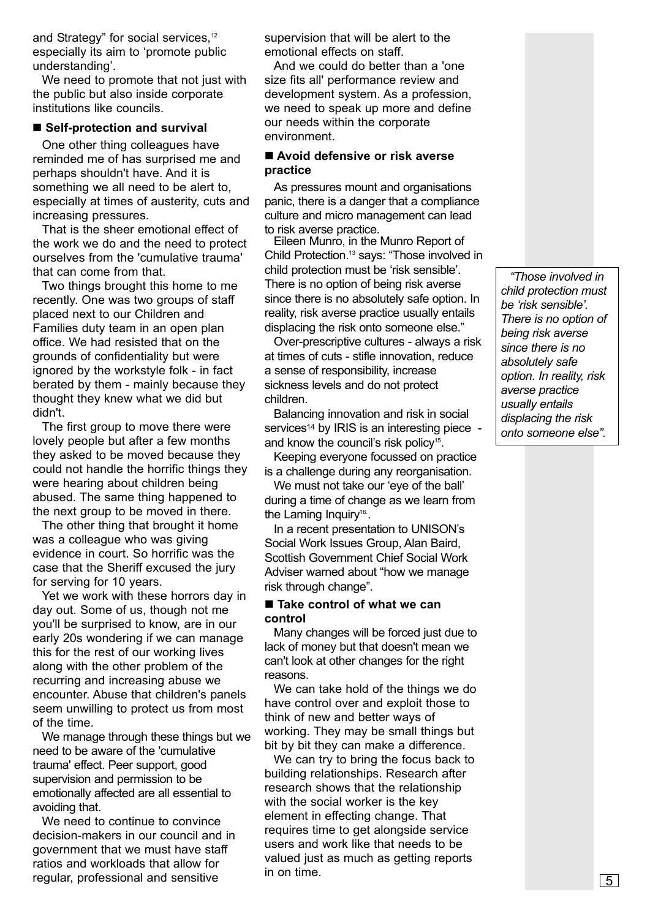and Strategy" for social services,<sup>12</sup> especially its aim to 'promote public understanding'.

We need to promote that not just with the public but also inside corporate institutions like councils.

#### ■ Self-protection and survival

One other thing colleagues have reminded me of has surprised me and perhaps shouldn't have. And it is something we all need to be alert to, especially at times of austerity, cuts and increasing pressures.

That is the sheer emotional effect of the work we do and the need to protect ourselves from the 'cumulative trauma' that can come from that.

Two things brought this home to me recently. One was two groups of staff placed next to our Children and Families duty team in an open plan office. We had resisted that on the grounds of confidentiality but were ignored by the workstyle folk - in fact berated by them - mainly because they thought they knew what we did but didn't.

The first group to move there were lovely people but after a few months they asked to be moved because they could not handle the horrific things they were hearing about children being abused. The same thing happened to the next group to be moved in there.

The other thing that brought it home was a colleague who was giving evidence in court. So horrific was the case that the Sheriff excused the jury for serving for 10 years.

Yet we work with these horrors day in day out. Some of us, though not me you'll be surprised to know, are in our early 20s wondering if we can manage this for the rest of our working lives along with the other problem of the recurring and increasing abuse we encounter. Abuse that children's panels seem unwilling to protect us from most of the time.

We manage through these things but we need to be aware of the 'cumulative trauma' effect. Peer support, good supervision and permission to be emotionally affected are all essential to avoiding that.

We need to continue to convince decision-makers in our council and in government that we must have staff ratios and workloads that allow for regular, professional and sensitive

supervision that will be alert to the emotional effects on staff.

And we could do better than a 'one size fits all' performance review and development system. As a profession, we need to speak up more and define our needs within the corporate environment.

#### ■ Avoid defensive or risk averse **practice**

As pressures mount and organisations panic, there is a danger that a compliance culture and micro management can lead to risk averse practice.

Eileen Munro, in the Munro Report of Child Protection.<sup>13</sup> says: "Those involved in child protection must be 'risk sensible'. There is no option of being risk averse since there is no absolutely safe option. In reality, risk averse practice usually entails displacing the risk onto someone else."

Over-prescriptive cultures - always a risk at times of cuts - stifle innovation, reduce a sense of responsibility, increase sickness levels and do not protect children.

Balancing innovation and risk in social services<sup>14</sup> by IRIS is an interesting piece and know the council's risk policy<sup>15</sup>.

Keeping everyone focussed on practice is a challenge during any reorganisation.

We must not take our 'eye of the ball' during a time of change as we learn from the Laming Inquiry<sup>16</sup>.

In a recent presentation to UNISON's Social Work Issues Group, Alan Baird, Scottish Government Chief Social Work Adviser warned about "how we manage risk through change".

#### ■ Take control of what we can **control**

Many changes will be forced just due to lack of money but that doesn't mean we can't look at other changes for the right reasons.

We can take hold of the things we do have control over and exploit those to think of new and better ways of working. They may be small things but bit by bit they can make a difference.

We can try to bring the focus back to building relationships. Research after research shows that the relationship with the social worker is the key element in effecting change. That requires time to get alongside service users and work like that needs to be valued just as much as getting reports in on time.

*"Those involved in child protection must be 'risk sensible'. There is no option of being risk averse since there is no absolutely safe option. In reality, risk averse practice usually entails displacing the risk onto someone else".*